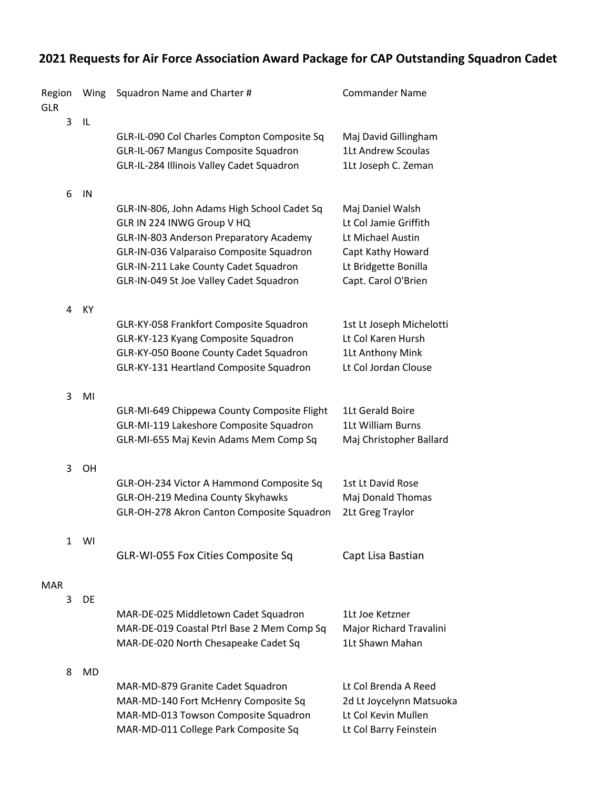# **2021 Requests for Air Force Association Award Package for CAP Outstanding Squadron Cadet**

| Region<br><b>GLR</b> | Wing      | Squadron Name and Charter #                                                                                                                                                                                                                          | <b>Commander Name</b>                                                                                                              |
|----------------------|-----------|------------------------------------------------------------------------------------------------------------------------------------------------------------------------------------------------------------------------------------------------------|------------------------------------------------------------------------------------------------------------------------------------|
| 3                    | IL        | GLR-IL-090 Col Charles Compton Composite Sq<br>GLR-IL-067 Mangus Composite Squadron<br>GLR-IL-284 Illinois Valley Cadet Squadron                                                                                                                     | Maj David Gillingham<br><b>1Lt Andrew Scoulas</b><br>1Lt Joseph C. Zeman                                                           |
| 6                    | IN        | GLR-IN-806, John Adams High School Cadet Sq<br>GLR IN 224 INWG Group V HQ<br>GLR-IN-803 Anderson Preparatory Academy<br>GLR-IN-036 Valparaiso Composite Squadron<br>GLR-IN-211 Lake County Cadet Squadron<br>GLR-IN-049 St Joe Valley Cadet Squadron | Maj Daniel Walsh<br>Lt Col Jamie Griffith<br>Lt Michael Austin<br>Capt Kathy Howard<br>Lt Bridgette Bonilla<br>Capt. Carol O'Brien |
| 4                    | KY        | GLR-KY-058 Frankfort Composite Squadron<br>GLR-KY-123 Kyang Composite Squadron<br>GLR-KY-050 Boone County Cadet Squadron<br>GLR-KY-131 Heartland Composite Squadron                                                                                  | 1st Lt Joseph Michelotti<br>Lt Col Karen Hursh<br>1Lt Anthony Mink<br>Lt Col Jordan Clouse                                         |
| 3                    | MI        | GLR-MI-649 Chippewa County Composite Flight<br>GLR-MI-119 Lakeshore Composite Squadron<br>GLR-MI-655 Maj Kevin Adams Mem Comp Sq                                                                                                                     | <b>1Lt Gerald Boire</b><br><b>1Lt William Burns</b><br>Maj Christopher Ballard                                                     |
| 3                    | <b>OH</b> | GLR-OH-234 Victor A Hammond Composite Sq<br>GLR-OH-219 Medina County Skyhawks<br>GLR-OH-278 Akron Canton Composite Squadron                                                                                                                          | 1st Lt David Rose<br>Maj Donald Thomas<br>2Lt Greg Traylor                                                                         |
| $\mathbf{1}$         | WI        | GLR-WI-055 Fox Cities Composite Sq                                                                                                                                                                                                                   | Capt Lisa Bastian                                                                                                                  |
| MAR<br>3             | <b>DE</b> | MAR-DE-025 Middletown Cadet Squadron<br>MAR-DE-019 Coastal Ptrl Base 2 Mem Comp Sq<br>MAR-DE-020 North Chesapeake Cadet Sq                                                                                                                           | 1Lt Joe Ketzner<br>Major Richard Travalini<br>1Lt Shawn Mahan                                                                      |
| 8                    | MD.       | MAR-MD-879 Granite Cadet Squadron<br>MAR-MD-140 Fort McHenry Composite Sq<br>MAR-MD-013 Towson Composite Squadron<br>MAR-MD-011 College Park Composite Sq                                                                                            | Lt Col Brenda A Reed<br>2d Lt Joycelynn Matsuoka<br>Lt Col Kevin Mullen<br>Lt Col Barry Feinstein                                  |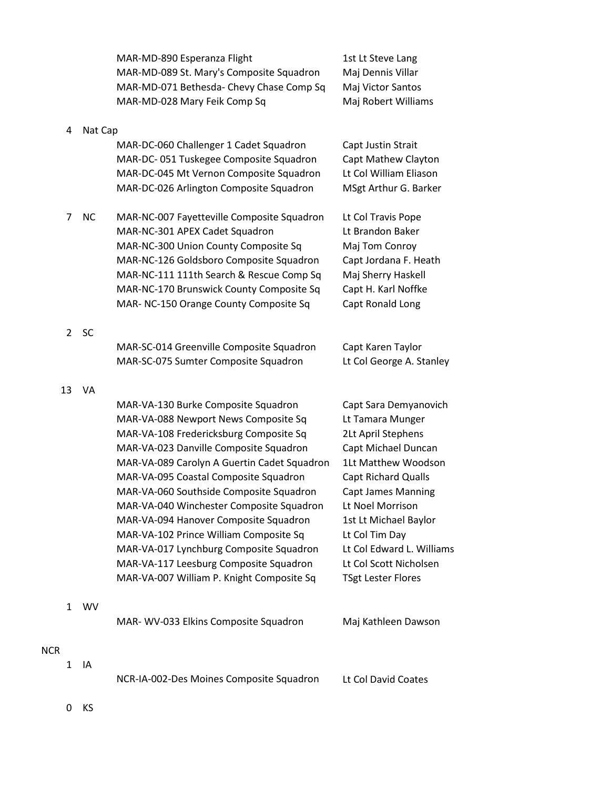|                        |           | MAR-MD-890 Esperanza Flight<br>MAR-MD-089 St. Mary's Composite Squadron<br>MAR-MD-071 Bethesda- Chevy Chase Comp Sq<br>MAR-MD-028 Mary Feik Comp Sq                                                                                                                                                                                                                                                                                                                                                                                                                 | 1st Lt Steve Lang<br>Maj Dennis Villar<br>Maj Victor Santos<br>Maj Robert Williams                                                                                                                                                                                                                                          |
|------------------------|-----------|---------------------------------------------------------------------------------------------------------------------------------------------------------------------------------------------------------------------------------------------------------------------------------------------------------------------------------------------------------------------------------------------------------------------------------------------------------------------------------------------------------------------------------------------------------------------|-----------------------------------------------------------------------------------------------------------------------------------------------------------------------------------------------------------------------------------------------------------------------------------------------------------------------------|
| 4                      | Nat Cap   | MAR-DC-060 Challenger 1 Cadet Squadron<br>MAR-DC-051 Tuskegee Composite Squadron<br>MAR-DC-045 Mt Vernon Composite Squadron<br>MAR-DC-026 Arlington Composite Squadron                                                                                                                                                                                                                                                                                                                                                                                              | Capt Justin Strait<br>Capt Mathew Clayton<br>Lt Col William Eliason<br>MSgt Arthur G. Barker                                                                                                                                                                                                                                |
| 7                      | <b>NC</b> | MAR-NC-007 Fayetteville Composite Squadron<br>MAR-NC-301 APEX Cadet Squadron<br>MAR-NC-300 Union County Composite Sq<br>MAR-NC-126 Goldsboro Composite Squadron<br>MAR-NC-111 111th Search & Rescue Comp Sq<br>MAR-NC-170 Brunswick County Composite Sq<br>MAR- NC-150 Orange County Composite Sq                                                                                                                                                                                                                                                                   | Lt Col Travis Pope<br>Lt Brandon Baker<br>Maj Tom Conroy<br>Capt Jordana F. Heath<br>Maj Sherry Haskell<br>Capt H. Karl Noffke<br>Capt Ronald Long                                                                                                                                                                          |
| $\overline{2}$         | SC        | MAR-SC-014 Greenville Composite Squadron<br>MAR-SC-075 Sumter Composite Squadron                                                                                                                                                                                                                                                                                                                                                                                                                                                                                    | Capt Karen Taylor<br>Lt Col George A. Stanley                                                                                                                                                                                                                                                                               |
| 13                     | VA        | MAR-VA-130 Burke Composite Squadron<br>MAR-VA-088 Newport News Composite Sq<br>MAR-VA-108 Fredericksburg Composite Sq<br>MAR-VA-023 Danville Composite Squadron<br>MAR-VA-089 Carolyn A Guertin Cadet Squadron<br>MAR-VA-095 Coastal Composite Squadron<br>MAR-VA-060 Southside Composite Squadron<br>MAR-VA-040 Winchester Composite Squadron<br>MAR-VA-094 Hanover Composite Squadron<br>MAR-VA-102 Prince William Composite Sq<br>MAR-VA-017 Lynchburg Composite Squadron<br>MAR-VA-117 Leesburg Composite Squadron<br>MAR-VA-007 William P. Knight Composite Sq | Capt Sara Demyanovich<br>Lt Tamara Munger<br>2Lt April Stephens<br>Capt Michael Duncan<br>1Lt Matthew Woodson<br><b>Capt Richard Qualls</b><br><b>Capt James Manning</b><br>Lt Noel Morrison<br>1st Lt Michael Baylor<br>Lt Col Tim Day<br>Lt Col Edward L. Williams<br>Lt Col Scott Nicholsen<br><b>TSgt Lester Flores</b> |
| 1                      | <b>WV</b> | MAR-WV-033 Elkins Composite Squadron                                                                                                                                                                                                                                                                                                                                                                                                                                                                                                                                | Maj Kathleen Dawson                                                                                                                                                                                                                                                                                                         |
| R<br>$\mathbf{1}$<br>0 | IA<br>KS  | NCR-IA-002-Des Moines Composite Squadron                                                                                                                                                                                                                                                                                                                                                                                                                                                                                                                            | Lt Col David Coates                                                                                                                                                                                                                                                                                                         |

NCR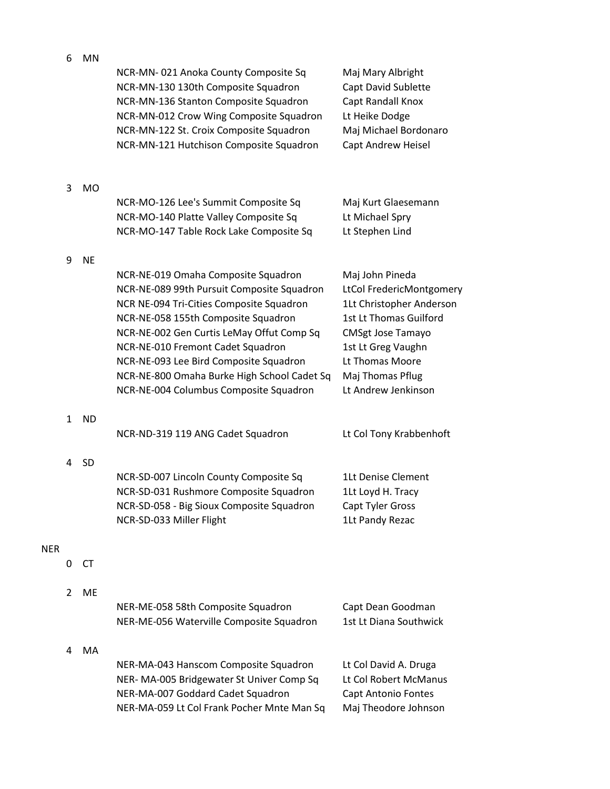|            | 6            | <b>MN</b> |                                                                                                                                                                                                                                                                                                                                                                                           |                                                                                                                                                                                                                   |
|------------|--------------|-----------|-------------------------------------------------------------------------------------------------------------------------------------------------------------------------------------------------------------------------------------------------------------------------------------------------------------------------------------------------------------------------------------------|-------------------------------------------------------------------------------------------------------------------------------------------------------------------------------------------------------------------|
|            |              |           | NCR-MN-021 Anoka County Composite Sq<br>NCR-MN-130 130th Composite Squadron<br>NCR-MN-136 Stanton Composite Squadron<br>NCR-MN-012 Crow Wing Composite Squadron                                                                                                                                                                                                                           | Maj Mary Albright<br>Capt David Sublette<br>Capt Randall Knox<br>Lt Heike Dodge                                                                                                                                   |
|            |              |           | NCR-MN-122 St. Croix Composite Squadron<br>NCR-MN-121 Hutchison Composite Squadron                                                                                                                                                                                                                                                                                                        | Maj Michael Bordonaro<br>Capt Andrew Heisel                                                                                                                                                                       |
|            | 3            | <b>MO</b> |                                                                                                                                                                                                                                                                                                                                                                                           |                                                                                                                                                                                                                   |
|            |              |           | NCR-MO-126 Lee's Summit Composite Sq<br>NCR-MO-140 Platte Valley Composite Sq<br>NCR-MO-147 Table Rock Lake Composite Sq                                                                                                                                                                                                                                                                  | Maj Kurt Glaesemann<br>Lt Michael Spry<br>Lt Stephen Lind                                                                                                                                                         |
|            | 9            | <b>NE</b> |                                                                                                                                                                                                                                                                                                                                                                                           |                                                                                                                                                                                                                   |
|            |              |           | NCR-NE-019 Omaha Composite Squadron<br>NCR-NE-089 99th Pursuit Composite Squadron<br>NCR NE-094 Tri-Cities Composite Squadron<br>NCR-NE-058 155th Composite Squadron<br>NCR-NE-002 Gen Curtis LeMay Offut Comp Sq<br>NCR-NE-010 Fremont Cadet Squadron<br>NCR-NE-093 Lee Bird Composite Squadron<br>NCR-NE-800 Omaha Burke High School Cadet Sq<br>NCR-NE-004 Columbus Composite Squadron | Maj John Pineda<br>LtCol FredericMontgomery<br>1Lt Christopher Anderson<br>1st Lt Thomas Guilford<br><b>CMSgt Jose Tamayo</b><br>1st Lt Greg Vaughn<br>Lt Thomas Moore<br>Maj Thomas Pflug<br>Lt Andrew Jenkinson |
|            | $\mathbf{1}$ | <b>ND</b> | NCR-ND-319 119 ANG Cadet Squadron                                                                                                                                                                                                                                                                                                                                                         | Lt Col Tony Krabbenhoft                                                                                                                                                                                           |
|            | 4            | <b>SD</b> |                                                                                                                                                                                                                                                                                                                                                                                           |                                                                                                                                                                                                                   |
|            |              |           | NCR-SD-007 Lincoln County Composite Sq<br>NCR-SD-031 Rushmore Composite Squadron<br>NCR-SD-058 - Big Sioux Composite Squadron<br>NCR-SD-033 Miller Flight                                                                                                                                                                                                                                 | <b>1Lt Denise Clement</b><br>1Lt Loyd H. Tracy<br>Capt Tyler Gross<br>1Lt Pandy Rezac                                                                                                                             |
| <b>NER</b> |              |           |                                                                                                                                                                                                                                                                                                                                                                                           |                                                                                                                                                                                                                   |
|            | 0            | CT        |                                                                                                                                                                                                                                                                                                                                                                                           |                                                                                                                                                                                                                   |
|            | 2            | ME        | NER-ME-058 58th Composite Squadron<br>NER-ME-056 Waterville Composite Squadron                                                                                                                                                                                                                                                                                                            | Capt Dean Goodman<br>1st Lt Diana Southwick                                                                                                                                                                       |
|            | 4            | MA        | NER-MA-043 Hanscom Composite Squadron                                                                                                                                                                                                                                                                                                                                                     | Lt Col David A. Druga                                                                                                                                                                                             |
|            |              |           | NER-MA-005 Bridgewater St Univer Comp Sq<br>NER-MA-007 Goddard Cadet Squadron<br>NER-MA-059 Lt Col Frank Pocher Mnte Man Sq                                                                                                                                                                                                                                                               | Lt Col Robert McManus<br>Capt Antonio Fontes<br>Maj Theodore Johnson                                                                                                                                              |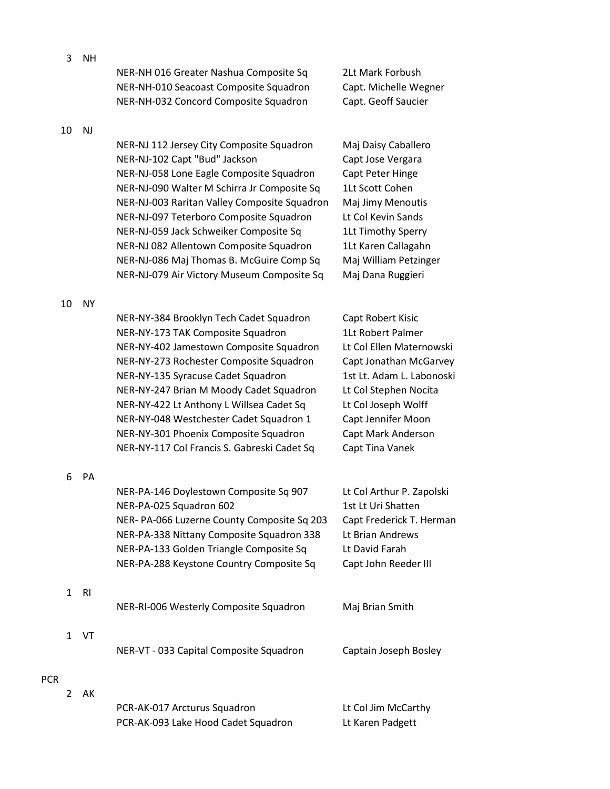| NER-NH 016 Greater Nashua Composite Sq | 2Lt Mark Forbush      |
|----------------------------------------|-----------------------|
| NER-NH-010 Seacoast Composite Squadron | Capt. Michelle Wegner |
| NER-NH-032 Concord Composite Squadron  | Capt. Geoff Saucier   |

## 10 NJ

NER-NJ 112 Jersey City Composite Squadron Maj Daisy Caballero NER-NJ-102 Capt "Bud" Jackson Capt Jose Vergara NER-NJ-058 Lone Eagle Composite Squadron Capt Peter Hinge NER-NJ-090 Walter M Schirra Jr Composite Sq 1Lt Scott Cohen NER-NJ-003 Raritan Valley Composite Squadron Maj Jimy Menoutis NER-NJ-097 Teterboro Composite Squadron Lt Col Kevin Sands NER-NJ-059 Jack Schweiker Composite Sq 1Lt Timothy Sperry NER-NJ 082 Allentown Composite Squadron 1Lt Karen Callagahn NER-NJ-086 Maj Thomas B. McGuire Comp Sq Maj William Petzinger NER-NJ-079 Air Victory Museum Composite Sq Maj Dana Ruggieri

#### 10 NY

NER-NY-384 Brooklyn Tech Cadet Squadron Capt Robert Kisic NER-NY-173 TAK Composite Squadron 1Lt Robert Palmer NER-NY-402 Jamestown Composite Squadron Lt Col Ellen Maternowski NER-NY-273 Rochester Composite Squadron Capt Jonathan McGarvey NER-NY-135 Syracuse Cadet Squadron 1st Lt. Adam L. Labonoski NER-NY-247 Brian M Moody Cadet Squadron Lt Col Stephen Nocita NER-NY-422 Lt Anthony L Willsea Cadet Sq Lt Col Joseph Wolff NER-NY-048 Westchester Cadet Squadron 1 Capt Jennifer Moon NER-NY-301 Phoenix Composite Squadron Capt Mark Anderson NER-NY-117 Col Francis S. Gabreski Cadet Sq Capt Tina Vanek

### 6 PA

|           | NER-PA-146 Doylestown Composite Sq 907<br>NER-PA-025 Squadron 602                                                                  | Lt Col Arthur P. Zapolski<br>1st Lt Uri Shatten                |  |
|-----------|------------------------------------------------------------------------------------------------------------------------------------|----------------------------------------------------------------|--|
|           | NER-PA-066 Luzerne County Composite Sq 203<br>NER-PA-338 Nittany Composite Squadron 338<br>NER-PA-133 Golden Triangle Composite Sq | Capt Frederick T. Herman<br>Lt Brian Andrews<br>Lt David Farah |  |
| <b>RI</b> | NER-PA-288 Keystone Country Composite Sq<br>NER-RI-006 Westerly Composite Squadron                                                 | Capt John Reeder III<br>Maj Brian Smith                        |  |
| VT        | NER-VT - 033 Capital Composite Squadron                                                                                            | Captain Joseph Bosley                                          |  |
|           |                                                                                                                                    |                                                                |  |

# **PCR**

2 AK

 $1$ 

 $\mathbf 1$ 

| PCR-AK-017 Arcturus Squadron        | Lt Col Jim McCarthy |
|-------------------------------------|---------------------|
| PCR-AK-093 Lake Hood Cadet Squadron | Lt Karen Padgett    |

3 NH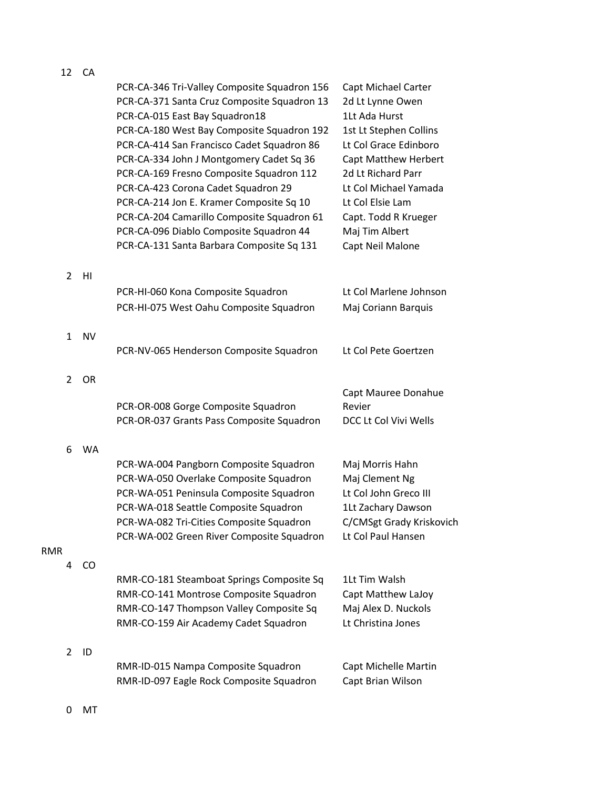| 12              | CA             |                                                                                                                                                                                                                                                                                                                                                                                                                                                                                                                                            |                                                                                                                                                                                                                                                                             |
|-----------------|----------------|--------------------------------------------------------------------------------------------------------------------------------------------------------------------------------------------------------------------------------------------------------------------------------------------------------------------------------------------------------------------------------------------------------------------------------------------------------------------------------------------------------------------------------------------|-----------------------------------------------------------------------------------------------------------------------------------------------------------------------------------------------------------------------------------------------------------------------------|
|                 |                | PCR-CA-346 Tri-Valley Composite Squadron 156<br>PCR-CA-371 Santa Cruz Composite Squadron 13<br>PCR-CA-015 East Bay Squadron18<br>PCR-CA-180 West Bay Composite Squadron 192<br>PCR-CA-414 San Francisco Cadet Squadron 86<br>PCR-CA-334 John J Montgomery Cadet Sq 36<br>PCR-CA-169 Fresno Composite Squadron 112<br>PCR-CA-423 Corona Cadet Squadron 29<br>PCR-CA-214 Jon E. Kramer Composite Sq 10<br>PCR-CA-204 Camarillo Composite Squadron 61<br>PCR-CA-096 Diablo Composite Squadron 44<br>PCR-CA-131 Santa Barbara Composite Sq 131 | Capt Michael Carter<br>2d Lt Lynne Owen<br>1Lt Ada Hurst<br>1st Lt Stephen Collins<br>Lt Col Grace Edinboro<br><b>Capt Matthew Herbert</b><br>2d Lt Richard Parr<br>Lt Col Michael Yamada<br>Lt Col Elsie Lam<br>Capt. Todd R Krueger<br>Maj Tim Albert<br>Capt Neil Malone |
| $\overline{2}$  | H <sub>l</sub> | PCR-HI-060 Kona Composite Squadron<br>PCR-HI-075 West Oahu Composite Squadron                                                                                                                                                                                                                                                                                                                                                                                                                                                              | Lt Col Marlene Johnson<br>Maj Coriann Barquis                                                                                                                                                                                                                               |
| $\mathbf{1}$    | <b>NV</b>      | PCR-NV-065 Henderson Composite Squadron                                                                                                                                                                                                                                                                                                                                                                                                                                                                                                    | Lt Col Pete Goertzen                                                                                                                                                                                                                                                        |
| $\overline{2}$  | <b>OR</b>      | PCR-OR-008 Gorge Composite Squadron<br>PCR-OR-037 Grants Pass Composite Squadron                                                                                                                                                                                                                                                                                                                                                                                                                                                           | Capt Mauree Donahue<br>Revier<br>DCC Lt Col Vivi Wells                                                                                                                                                                                                                      |
| 6               | <b>WA</b>      | PCR-WA-004 Pangborn Composite Squadron<br>PCR-WA-050 Overlake Composite Squadron<br>PCR-WA-051 Peninsula Composite Squadron<br>PCR-WA-018 Seattle Composite Squadron<br>PCR-WA-082 Tri-Cities Composite Squadron<br>PCR-WA-002 Green River Composite Squadron                                                                                                                                                                                                                                                                              | Maj Morris Hahn<br>Maj Clement Ng<br>Lt Col John Greco III<br>1Lt Zachary Dawson<br>C/CMSgt Grady Kriskovich<br>Lt Col Paul Hansen                                                                                                                                          |
| <b>RMR</b><br>4 | CO             | RMR-CO-181 Steamboat Springs Composite Sq<br>RMR-CO-141 Montrose Composite Squadron<br>RMR-CO-147 Thompson Valley Composite Sq<br>RMR-CO-159 Air Academy Cadet Squadron                                                                                                                                                                                                                                                                                                                                                                    | 1Lt Tim Walsh<br>Capt Matthew LaJoy<br>Maj Alex D. Nuckols<br>Lt Christina Jones                                                                                                                                                                                            |
| $\overline{2}$  | ID             | RMR-ID-015 Nampa Composite Squadron<br>RMR-ID-097 Eagle Rock Composite Squadron                                                                                                                                                                                                                                                                                                                                                                                                                                                            | Capt Michelle Martin<br>Capt Brian Wilson                                                                                                                                                                                                                                   |
| 0               | MT             |                                                                                                                                                                                                                                                                                                                                                                                                                                                                                                                                            |                                                                                                                                                                                                                                                                             |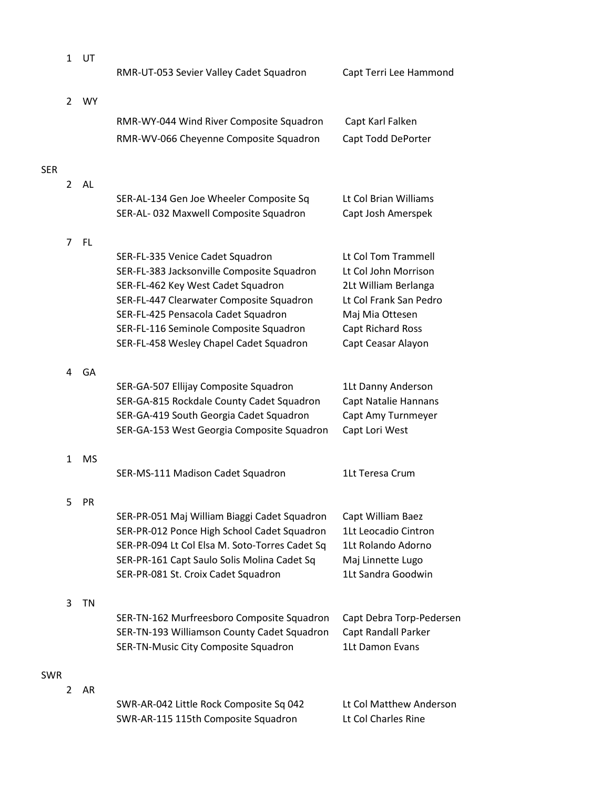|            | $\mathbf{1}$   | UT        | RMR-UT-053 Sevier Valley Cadet Squadron                                                                                                                                                                                                                                                      | Capt Terri Lee Hammond                                                                                                                                             |
|------------|----------------|-----------|----------------------------------------------------------------------------------------------------------------------------------------------------------------------------------------------------------------------------------------------------------------------------------------------|--------------------------------------------------------------------------------------------------------------------------------------------------------------------|
|            | $\overline{2}$ | <b>WY</b> |                                                                                                                                                                                                                                                                                              |                                                                                                                                                                    |
|            |                |           | RMR-WY-044 Wind River Composite Squadron                                                                                                                                                                                                                                                     | Capt Karl Falken                                                                                                                                                   |
|            |                |           | RMR-WV-066 Cheyenne Composite Squadron                                                                                                                                                                                                                                                       | Capt Todd DePorter                                                                                                                                                 |
| <b>SER</b> | $\overline{2}$ | AL        |                                                                                                                                                                                                                                                                                              |                                                                                                                                                                    |
|            |                |           | SER-AL-134 Gen Joe Wheeler Composite Sq<br>SER-AL-032 Maxwell Composite Squadron                                                                                                                                                                                                             | Lt Col Brian Williams<br>Capt Josh Amerspek                                                                                                                        |
|            | 7              | <b>FL</b> |                                                                                                                                                                                                                                                                                              |                                                                                                                                                                    |
|            |                |           | SER-FL-335 Venice Cadet Squadron<br>SER-FL-383 Jacksonville Composite Squadron<br>SER-FL-462 Key West Cadet Squadron<br>SER-FL-447 Clearwater Composite Squadron<br>SER-FL-425 Pensacola Cadet Squadron<br>SER-FL-116 Seminole Composite Squadron<br>SER-FL-458 Wesley Chapel Cadet Squadron | Lt Col Tom Trammell<br>Lt Col John Morrison<br>2Lt William Berlanga<br>Lt Col Frank San Pedro<br>Maj Mia Ottesen<br><b>Capt Richard Ross</b><br>Capt Ceasar Alayon |
|            | 4              | GA        |                                                                                                                                                                                                                                                                                              |                                                                                                                                                                    |
|            |                |           | SER-GA-507 Ellijay Composite Squadron<br>SER-GA-815 Rockdale County Cadet Squadron<br>SER-GA-419 South Georgia Cadet Squadron<br>SER-GA-153 West Georgia Composite Squadron                                                                                                                  | 1Lt Danny Anderson<br>Capt Natalie Hannans<br>Capt Amy Turnmeyer<br>Capt Lori West                                                                                 |
|            | $\mathbf{1}$   | <b>MS</b> | SER-MS-111 Madison Cadet Squadron                                                                                                                                                                                                                                                            | 1Lt Teresa Crum                                                                                                                                                    |
|            | 5              | <b>PR</b> | SER-PR-051 Maj William Biaggi Cadet Squadron<br>SER-PR-012 Ponce High School Cadet Squadron<br>SER-PR-094 Lt Col Elsa M. Soto-Torres Cadet Sq<br>SER-PR-161 Capt Saulo Solis Molina Cadet Sq<br>SER-PR-081 St. Croix Cadet Squadron                                                          | Capt William Baez<br>1Lt Leocadio Cintron<br>1Lt Rolando Adorno<br>Maj Linnette Lugo<br>1Lt Sandra Goodwin                                                         |
|            | 3              | <b>TN</b> |                                                                                                                                                                                                                                                                                              |                                                                                                                                                                    |
|            |                |           | SER-TN-162 Murfreesboro Composite Squadron<br>SER-TN-193 Williamson County Cadet Squadron<br>SER-TN-Music City Composite Squadron                                                                                                                                                            | Capt Debra Torp-Pedersen<br>Capt Randall Parker<br>1Lt Damon Evans                                                                                                 |
| <b>SWR</b> | 2              | AR        |                                                                                                                                                                                                                                                                                              |                                                                                                                                                                    |
|            |                |           | SWR-AR-042 Little Rock Composite Sq 042<br>SWR-AR-115 115th Composite Squadron                                                                                                                                                                                                               | Lt Col Matthew Anderson<br>Lt Col Charles Rine                                                                                                                     |